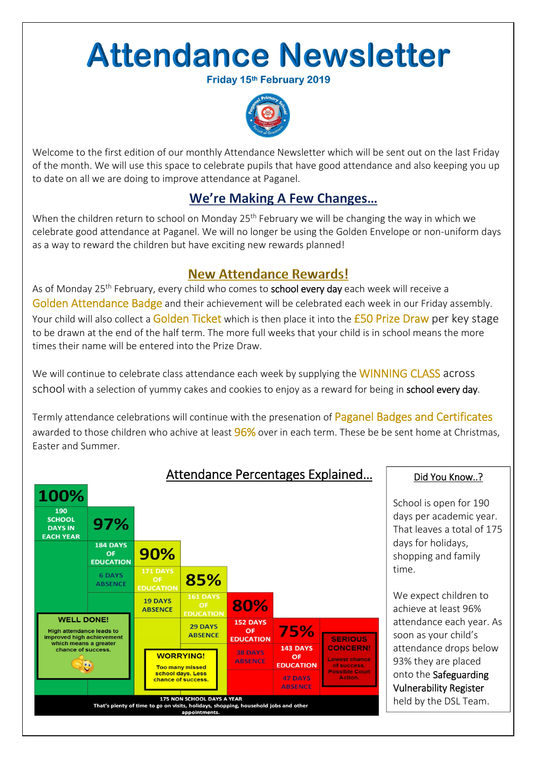# **Attendance Newsletter**

Friday 15th February 2019



Welcome to the first edition of our monthly Attendance Newsletter which will be sent out on the last Friday of the month. We will use this space to celebrate pupils that have good attendance and also keeping you up to date on all we are doing to improve attendance at Paganel.

### We're Making A Few Changes...

When the children return to school on Monday 25<sup>th</sup> February we will be changing the way in which we celebrate good attendance at Paganel. We will no longer be using the Golden Envelope or non‐uniform days as a way to reward the children but have exciting new rewards planned!

### **New Attendance Rewards!**

As of Monday 25<sup>th</sup> February, every child who comes to **school every day** each week will receive a Golden Attendance Badge and their achievement will be celebrated each week in our Friday assembly. Your child will also collect a Golden Ticket which is then place it into the £50 Prize Draw per key stage to be drawn at the end of the half term. The more full weeks that your child is in school means the more times their name will be entered into the Prize Draw.

We will continue to celebrate class attendance each week by supplying the WINNING CLASS across school with a selection of yummy cakes and cookies to enjoy as a reward for being in school every day.

Termly attendance celebrations will continue with the presenation of Paganel Badges and Certificates awarded to those children who achive at least 96% over in each term. These be be sent home at Christmas, Easter and Summer.



School is open for 190 days per academic year. That leaves a total of 175 days for holidays, shopping and family time.

We expect children to achieve at least 96% attendance each year. As soon as your child's attendance drops below 93% they are placed onto the Safeguarding Vulnerability Register held by the DSL Team.